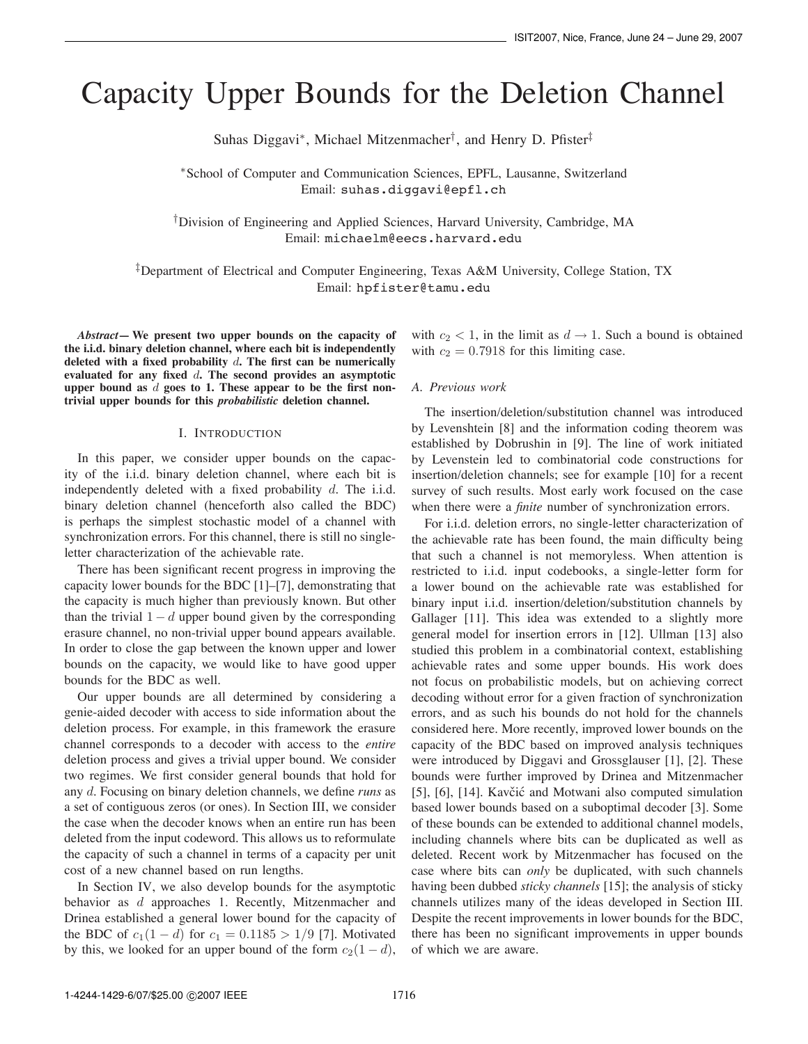# Capacity Upper Bounds for the Deletion Channel

Suhas Diggavi<sup>∗</sup>, Michael Mitzenmacher<sup>†</sup>, and Henry D. Pfister<sup>‡</sup>

∗School of Computer and Communication Sciences, EPFL, Lausanne, Switzerland Email: suhas.diggavi@epfl.ch

†Division of Engineering and Applied Sciences, Harvard University, Cambridge, MA Email: michaelm@eecs.harvard.edu

‡Department of Electrical and Computer Engineering, Texas A&M University, College Station, TX Email: hpfister@tamu.edu

*Abstract***—We present two upper bounds on the capacity of the i.i.d. binary deletion channel, where each bit is independently deleted with a fixed probability** d**. The first can be numerically evaluated for any fixed** d**. The second provides an asymptotic upper bound as** d **goes to 1. These appear to be the first nontrivial upper bounds for this** *probabilistic* **deletion channel.**

## I. INTRODUCTION

In this paper, we consider upper bounds on the capacity of the i.i.d. binary deletion channel, where each bit is independently deleted with a fixed probability  $d$ . The i.i.d. binary deletion channel (henceforth also called the BDC) is perhaps the simplest stochastic model of a channel with synchronization errors. For this channel, there is still no singleletter characterization of the achievable rate.

There has been significant recent progress in improving the capacity lower bounds for the BDC [1]–[7], demonstrating that the capacity is much higher than previously known. But other than the trivial  $1 - d$  upper bound given by the corresponding erasure channel, no non-trivial upper bound appears available. In order to close the gap between the known upper and lower bounds on the capacity, we would like to have good upper bounds for the BDC as well.

Our upper bounds are all determined by considering a genie-aided decoder with access to side information about the deletion process. For example, in this framework the erasure channel corresponds to a decoder with access to the *entire* deletion process and gives a trivial upper bound. We consider two regimes. We first consider general bounds that hold for any d. Focusing on binary deletion channels, we define *runs* as a set of contiguous zeros (or ones). In Section III, we consider the case when the decoder knows when an entire run has been deleted from the input codeword. This allows us to reformulate the capacity of such a channel in terms of a capacity per unit cost of a new channel based on run lengths.

In Section IV, we also develop bounds for the asymptotic behavior as d approaches 1. Recently, Mitzenmacher and Drinea established a general lower bound for the capacity of the BDC of  $c_1(1 - d)$  for  $c_1 = 0.1185 > 1/9$  [7]. Motivated by this, we looked for an upper bound of the form  $c_2(1 - d)$ , with  $c_2 < 1$ , in the limit as  $d \rightarrow 1$ . Such a bound is obtained with  $c_2 = 0.7918$  for this limiting case.

## *A. Previous work*

The insertion/deletion/substitution channel was introduced by Levenshtein [8] and the information coding theorem was established by Dobrushin in [9]. The line of work initiated by Levenstein led to combinatorial code constructions for insertion/deletion channels; see for example [10] for a recent survey of such results. Most early work focused on the case when there were a *finite* number of synchronization errors.

For i.i.d. deletion errors, no single-letter characterization of the achievable rate has been found, the main difficulty being that such a channel is not memoryless. When attention is restricted to i.i.d. input codebooks, a single-letter form for a lower bound on the achievable rate was established for binary input i.i.d. insertion/deletion/substitution channels by Gallager [11]. This idea was extended to a slightly more general model for insertion errors in [12]. Ullman [13] also studied this problem in a combinatorial context, establishing achievable rates and some upper bounds. His work does not focus on probabilistic models, but on achieving correct decoding without error for a given fraction of synchronization errors, and as such his bounds do not hold for the channels considered here. More recently, improved lower bounds on the capacity of the BDC based on improved analysis techniques were introduced by Diggavi and Grossglauser [1], [2]. These bounds were further improved by Drinea and Mitzenmacher [5], [6], [14]. Kavčić and Motwani also computed simulation based lower bounds based on a suboptimal decoder [3]. Some of these bounds can be extended to additional channel models, including channels where bits can be duplicated as well as deleted. Recent work by Mitzenmacher has focused on the case where bits can *only* be duplicated, with such channels having been dubbed *sticky channels* [15]; the analysis of sticky channels utilizes many of the ideas developed in Section III. Despite the recent improvements in lower bounds for the BDC, there has been no significant improvements in upper bounds of which we are aware.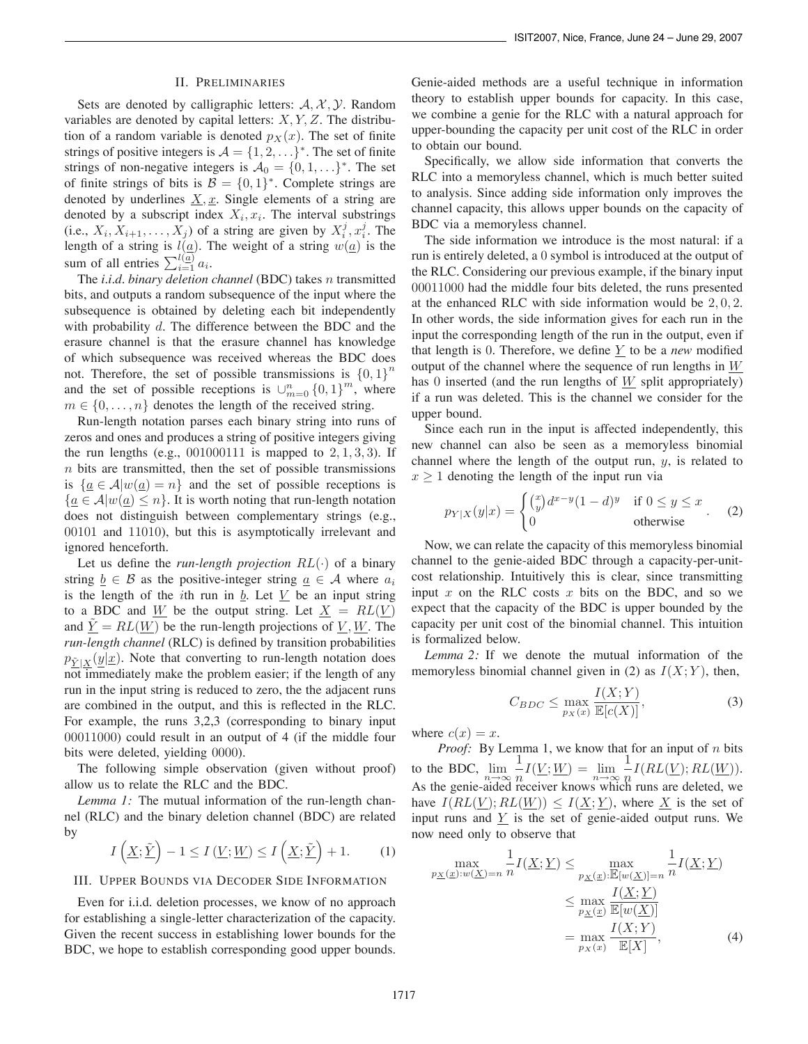## II. PRELIMINARIES

Sets are denoted by calligraphic letters:  $A, X, Y$ . Random variables are denoted by capital letters:  $X, Y, Z$ . The distribution of a random variable is denoted  $p_X(x)$ . The set of finite strings of positive integers is  $\mathcal{A} = \{1, 2, ...\}^*$ . The set of finite strings of non-negative integers is  $\mathcal{A}_0 = \{0, 1, ...\}^*$ . The set of finite strings of bits is  $\mathcal{B} = \{0, 1\}^*$ . Complete strings are denoted by underlines  $\underline{X}, \underline{x}$ . Single elements of a string are denoted by a subscript index  $X_i, x_i$ . The interval substrings (i.e.,  $X_i, X_{i+1}, \ldots, X_j$ ) of a string are given by  $X_i^j, x_i^j$ . The length of a string is  $l(\underline{a})$ . The weight of a string  $w(\underline{a})$  is the sum of all entries  $\sum_{i=1}^{l(\overline{a})} a_i$ .

The *i.i.d. binary deletion channel* (BDC) takes n transmitted bits, and outputs a random subsequence of the input where the subsequence is obtained by deleting each bit independently with probability d. The difference between the BDC and the erasure channel is that the erasure channel has knowledge of which subsequence was received whereas the BDC does not. Therefore, the set of possible transmissions is  $\{0,1\}^n$ <br>and the set of possible receptions is  $\{0,1\}^n$  where and the set of possible receptions is  $\bigcup_{m=0}^{n} \{0,1\}^m$ , where  $m \in \{0, \ldots, n\}$  denotes the length of the received string  $m \in \{0, \ldots, n\}$  denotes the length of the received string.

Run-length notation parses each binary string into runs of zeros and ones and produces a string of positive integers giving the run lengths (e.g.,  $001000111$  is mapped to  $2, 1, 3, 3$ ). If  $n$  bits are transmitted, then the set of possible transmissions is  ${a \in \mathcal{A}|w(a) = n}$  and the set of possible receptions is  ${a \in \mathcal{A}|w(a) \leq n}$ . It is worth noting that run-length notation does not distinguish between complementary strings (e.g., 00101 and 11010), but this is asymptotically irrelevant and ignored henceforth.

Let us define the *run-length projection*  $RL(\cdot)$  of a binary string  $\underline{b} \in \mathcal{B}$  as the positive-integer string  $\underline{a} \in \mathcal{A}$  where  $a_i$ is the length of the *i*th run in  $b$ . Let  $V$  be an input string to a BDC and W be the output string. Let  $X = RL(V)$ and  $Y = RL(W)$  be the run-length projections of V, W. The *run-length channel* (RLC) is defined by transition probabilities  $p_{\tilde{Y}|X}(y|\underline{x})$ . Note that converting to run-length notation does not immediately make the problem easier; if the length of any run in the input string is reduced to zero, the the adjacent runs are combined in the output, and this is reflected in the RLC. For example, the runs 3,2,3 (corresponding to binary input 00011000) could result in an output of 4 (if the middle four bits were deleted, yielding 0000).

The following simple observation (given without proof) allow us to relate the RLC and the BDC.

*Lemma 1:* The mutual information of the run-length channel (RLC) and the binary deletion channel (BDC) are related by

$$
I\left(\underline{X};\underline{\tilde{Y}}\right) - 1 \le I\left(\underline{V};\underline{W}\right) \le I\left(\underline{X};\underline{\tilde{Y}}\right) + 1. \tag{1}
$$

## III. UPPER BOUNDS VIA DECODER SIDE INFORMATION

Even for i.i.d. deletion processes, we know of no approach for establishing a single-letter characterization of the capacity. Given the recent success in establishing lower bounds for the BDC, we hope to establish corresponding good upper bounds.

Genie-aided methods are a useful technique in information theory to establish upper bounds for capacity. In this case, we combine a genie for the RLC with a natural approach for upper-bounding the capacity per unit cost of the RLC in order to obtain our bound.

Specifically, we allow side information that converts the RLC into a memoryless channel, which is much better suited to analysis. Since adding side information only improves the channel capacity, this allows upper bounds on the capacity of BDC via a memoryless channel.

The side information we introduce is the most natural: if a run is entirely deleted, a 0 symbol is introduced at the output of the RLC. Considering our previous example, if the binary input 00011000 had the middle four bits deleted, the runs presented at the enhanced RLC with side information would be 2, 0, 2. In other words, the side information gives for each run in the input the corresponding length of the run in the output, even if that length is 0. Therefore, we define <sup>Y</sup> to be a *new* modified output of the channel where the sequence of run lengths in  $W$ has 0 inserted (and the run lengths of  $W$  split appropriately) if a run was deleted. This is the channel we consider for the upper bound.

Since each run in the input is affected independently, this new channel can also be seen as a memoryless binomial channel where the length of the output run,  $y$ , is related to  $x \ge 1$  denoting the length of the input run via

$$
p_{Y|X}(y|x) = \begin{cases} {x \choose y} d^{x-y} (1-d)^y & \text{if } 0 \le y \le x \\ 0 & \text{otherwise} \end{cases}
$$
 (2)

Now, we can relate the capacity of this memoryless binomial channel to the genie-aided BDC through a capacity-per-unitcost relationship. Intuitively this is clear, since transmitting input  $x$  on the RLC costs  $x$  bits on the BDC, and so we expect that the capacity of the BDC is upper bounded by the capacity per unit cost of the binomial channel. This intuition is formalized below.

*Lemma 2:* If we denote the mutual information of the memoryless binomial channel given in (2) as  $I(X; Y)$ , then,

$$
C_{BDC} \le \max_{p_X(x)} \frac{I(X;Y)}{\mathbb{E}[c(X)]},\tag{3}
$$

where  $c(x) = x$ .

*Proof:* By Lemma 1, we know that for an input of n bits to the BDC,  $\lim_{n \to \infty} \frac{1}{n} I(\underline{V}; \underline{W}) = \lim_{n \to \infty} \frac{1}{n} I(RL(\underline{V}); RL(\underline{W})).$ <br>As the genie-aided receiver knows which runs are deleted, we have  $I(RL(V); RL(W)) \leq I(X;Y)$ , where X is the set of input runs and  $\underline{Y}$  is the set of genie-aided output runs. We now need only to observe that

$$
\max_{p_{\underline{X}}(\underline{x}):w(\underline{X})=n} \frac{1}{n} I(\underline{X}; \underline{Y}) \le \max_{p_{\underline{X}}(\underline{x}): \underline{\mathbb{E}}[w(\underline{X})]=n} \frac{1}{n} I(\underline{X}; \underline{Y})
$$

$$
\le \max_{p_{\underline{X}}(\underline{x})} \frac{I(\underline{X}; \underline{Y})}{\mathbb{E}[w(\underline{X})]}
$$

$$
= \max_{p_{\underline{X}}(\underline{x})} \frac{I(\underline{X}; \underline{Y})}{\mathbb{E}[X]},
$$
(4)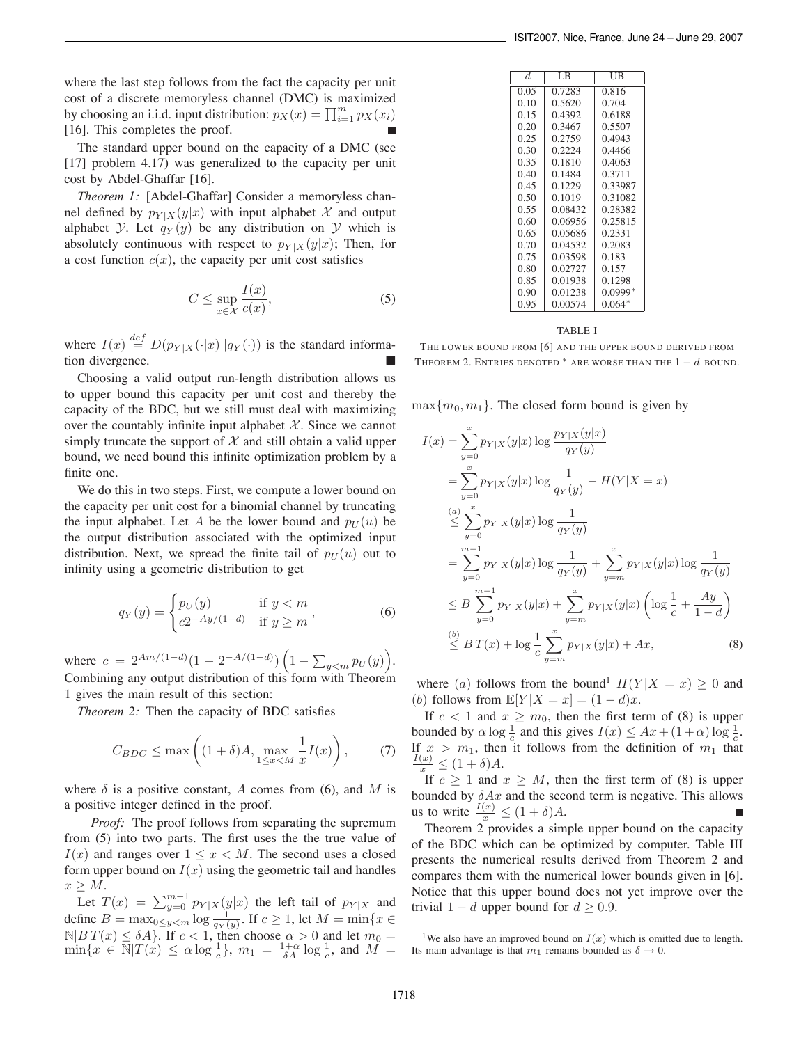where the last step follows from the fact the capacity per unit cost of a discrete memoryless channel (DMC) is maximized by choosing an i.i.d. input distribution:  $p_{\underline{X}}(\underline{x}) = \prod_{i=1}^{m} p_X(x_i)$ [16]. This completes the proof.

The standard upper bound on the capacity of a DMC (see [17] problem 4.17) was generalized to the capacity per unit cost by Abdel-Ghaffar [16].

*Theorem 1:* [Abdel-Ghaffar] Consider a memoryless channel defined by  $p_{Y|X}(y|x)$  with input alphabet X and output alphabet *Y*. Let  $q_Y(y)$  be any distribution on *Y* which is absolutely continuous with respect to  $p_{Y|X}(y|x)$ ; Then, for a cost function  $c(x)$ , the capacity per unit cost satisfies

$$
C \le \sup_{x \in \mathcal{X}} \frac{I(x)}{c(x)},\tag{5}
$$

where  $I(x) \stackrel{def}{=} D(p_{Y|X}(\cdot|x)||q_Y(\cdot))$  is the standard information divergence.

Choosing a valid output run-length distribution allows us to upper bound this capacity per unit cost and thereby the capacity of the BDC, but we still must deal with maximizing over the countably infinite input alphabet  $X$ . Since we cannot simply truncate the support of  $X$  and still obtain a valid upper bound, we need bound this infinite optimization problem by a finite one.

We do this in two steps. First, we compute a lower bound on the capacity per unit cost for a binomial channel by truncating the input alphabet. Let A be the lower bound and  $p_U(u)$  be the output distribution associated with the optimized input distribution. Next, we spread the finite tail of  $p_U(u)$  out to infinity using a geometric distribution to get

$$
q_Y(y) = \begin{cases} p_U(y) & \text{if } y < m \\ c2^{-Ay/(1-d)} & \text{if } y \ge m \end{cases}, \tag{6}
$$

where  $c = 2^{Am/(1-d)}(1 - 2^{-A/(1-d)})$ <br>Combining only subject distribution of the  $\left(1 - \sum_{y < m} p_U(y)\right)$ . Combining any output distribution of this form with Theorem 1 gives the main result of this section:

*Theorem 2:* Then the capacity of BDC satisfies

$$
C_{BDC} \le \max\left( (1+\delta)A, \max_{1 \le x < M} \frac{1}{x} I(x) \right),\tag{7}
$$

where  $\delta$  is a positive constant, A comes from (6), and M is a positive integer defined in the proof.

*Proof:* The proof follows from separating the supremum from (5) into two parts. The first uses the the true value of  $I(x)$  and ranges over  $1 \leq x \leq M$ . The second uses a closed form upper bound on  $I(x)$  using the geometric tail and handles  $x \geq M$ .

Let  $T(x) = \sum_{y=0}^{m-1} p_{Y|X}(y|x)$  the left tail of  $p_{Y|X}$  and define  $B = \max_{0 \le y \le m} \log \frac{1}{q_y(y)}$ . If  $c \ge 1$ , let  $M = \min\{x \in \mathbb{N} | P_T(x) \le \delta A\}$ . If  $c \le 1$ , then choose  $c \ge 0$  and let  $m =$  $N|BT(x) \leq \delta A$ . If  $c < 1$ , then choose  $\alpha > 0$  and let  $m_0 =$ <br> $\min\{x \in N|T(x) \leq \alpha \log \frac{1}{2}\}$ ,  $m_1 = \frac{1+\alpha}{2} \log \frac{1}{2}$  and  $M =$  $\min\{x \in \mathbb{N} | T(x) \le \alpha \log \frac{1}{c} \}, m_1 = \frac{1+\alpha}{\delta A} \log \frac{1}{c}, \text{ and } M =$ 

| d.   | LB      | UB        |
|------|---------|-----------|
| 0.05 | 0.7283  | 0.816     |
| 0.10 | 0.5620  | 0.704     |
| 0.15 | 0.4392  | 0.6188    |
| 0.20 | 0.3467  | 0.5507    |
| 0.25 | 0.2759  | 0.4943    |
| 0.30 | 0.2224  | 0.4466    |
| 0.35 | 0.1810  | 0.4063    |
| 0.40 | 0.1484  | 0.3711    |
| 0.45 | 0.1229  | 0.33987   |
| 0.50 | 0.1019  | 0.31082   |
| 0.55 | 0.08432 | 0.28382   |
| 0.60 | 0.06956 | 0.25815   |
| 0.65 | 0.05686 | 0.2331    |
| 0.70 | 0.04532 | 0.2083    |
| 0.75 | 0.03598 | 0.183     |
| 0.80 | 0.02727 | 0.157     |
| 0.85 | 0.01938 | 0.1298    |
| 0.90 | 0.01238 | $0.0999*$ |
| 0.95 | 0.00574 | $0.064*$  |
|      |         |           |

## TABLE I

THE LOWER BOUND FROM [6] AND THE UPPER BOUND DERIVED FROM THEOREM 2. ENTRIES DENOTED  $*$  are worse than the  $1-d$  bound.

 $\max\{m_0, m_1\}$ . The closed form bound is given by

$$
I(x) = \sum_{y=0}^{x} p_{Y|X}(y|x) \log \frac{p_{Y|X}(y|x)}{q_Y(y)}
$$
  
\n
$$
= \sum_{y=0}^{x} p_{Y|X}(y|x) \log \frac{1}{q_Y(y)} - H(Y|X=x)
$$
  
\n
$$
\leq \sum_{y=0}^{(a)} p_{Y|X}(y|x) \log \frac{1}{q_Y(y)}
$$
  
\n
$$
= \sum_{y=0}^{m-1} p_{Y|X}(y|x) \log \frac{1}{q_Y(y)} + \sum_{y=m}^{x} p_{Y|X}(y|x) \log \frac{1}{q_Y(y)}
$$
  
\n
$$
\leq B \sum_{y=0}^{m-1} p_{Y|X}(y|x) + \sum_{y=m}^{x} p_{Y|X}(y|x) \left( \log \frac{1}{c} + \frac{Ay}{1-d} \right)
$$
  
\n
$$
\leq B T(x) + \log \frac{1}{c} \sum_{y=m}^{x} p_{Y|X}(y|x) + Ax,
$$
 (8)

where (a) follows from the bound<sup>1</sup>  $H(Y|X=x) \geq 0$  and (b) follows from  $\mathbb{E}[Y|X=x] = (1-d)x$ .

If  $c < 1$  and  $x \ge m_0$ , then the first term of (8) is upper bounded by  $\alpha \log \frac{1}{c}$  and this gives  $I(x) \leq Ax + (1+\alpha) \log \frac{1}{c}$ .<br>If  $x > m$ , then it follows from the definition of m. that If  $x > m_1$ , then it follows from the definition of  $m_1$  that  $\frac{I(x)}{x} \leq (1+\delta)A.$ 

If  $c \ge 1$  and  $x \ge M$ , then the first term of (8) is upper bounded by  $\delta Ax$  and the second term is negative. This allows us to write  $\frac{I(x)}{x} \leq (1+\delta)A$ .<br>Theorem 2 provides a sim

Theorem 2 provides a simple upper bound on the capacity of the BDC which can be optimized by computer. Table III presents the numerical results derived from Theorem 2 and compares them with the numerical lower bounds given in [6]. Notice that this upper bound does not yet improve over the trivial  $1 - d$  upper bound for  $d \ge 0.9$ .

<sup>1</sup>We also have an improved bound on  $I(x)$  which is omitted due to length. Its main advantage is that  $m_1$  remains bounded as  $\delta \to 0$ .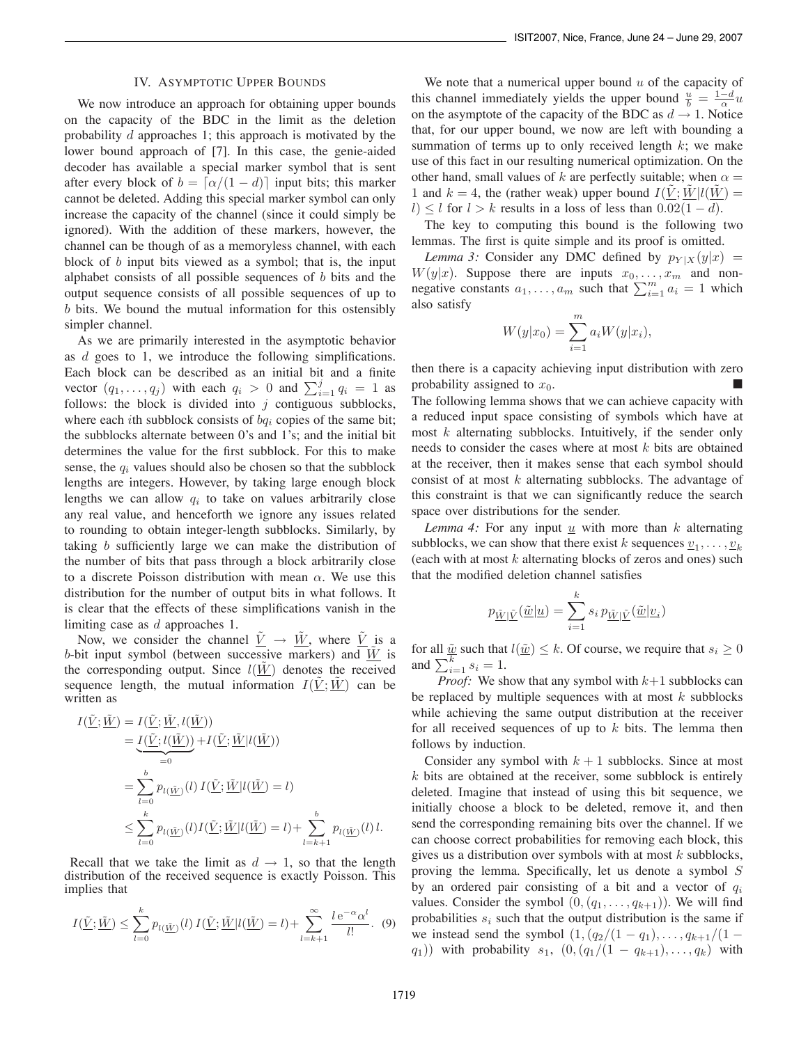#### IV. ASYMPTOTIC UPPER BOUNDS

We now introduce an approach for obtaining upper bounds on the capacity of the BDC in the limit as the deletion probability  $d$  approaches 1; this approach is motivated by the lower bound approach of [7]. In this case, the genie-aided decoder has available a special marker symbol that is sent after every block of  $b = [\alpha/(1-d)]$  input bits; this marker cannot be deleted. Adding this special marker symbol can only increase the capacity of the channel (since it could simply be ignored). With the addition of these markers, however, the channel can be though of as a memoryless channel, with each block of  $b$  input bits viewed as a symbol; that is, the input alphabet consists of all possible sequences of  $b$  bits and the output sequence consists of all possible sequences of up to b bits. We bound the mutual information for this ostensibly simpler channel.

As we are primarily interested in the asymptotic behavior as d goes to 1, we introduce the following simplifications. Each block can be described as an initial bit and a finite vector  $(q_1, \ldots, q_j)$  with each  $q_i > 0$  and  $\sum_{i=1}^j q_i = 1$  as<br>follows: the block is divided into a continuous subblocks follows: the block is divided into  $j$  contiguous subblocks, where each *i*th subblock consists of  $bq_i$  copies of the same bit; the subblocks alternate between 0's and 1's; and the initial bit determines the value for the first subblock. For this to make sense, the  $q_i$  values should also be chosen so that the subblock lengths are integers. However, by taking large enough block lengths we can allow  $q_i$  to take on values arbitrarily close any real value, and henceforth we ignore any issues related to rounding to obtain integer-length subblocks. Similarly, by taking b sufficiently large we can make the distribution of the number of bits that pass through a block arbitrarily close to a discrete Poisson distribution with mean  $\alpha$ . We use this distribution for the number of output bits in what follows. It is clear that the effects of these simplifications vanish in the limiting case as d approaches 1.

Now, we consider the channel  $\underline{V} \rightarrow \underline{W}$ , where  $\underline{V}$  is a b-bit input symbol (between successive markers) and  $\hat{W}$  is the corresponding output. Since  $l(W)$  denotes the received sequence length, the mutual information  $I(V;W)$  can be written as

$$
I(\underline{\tilde{V}}; \underline{\tilde{W}}) = I(\underline{\tilde{V}}; \underline{\tilde{W}}, l(\underline{\tilde{W}}))
$$
  
\n
$$
= \underbrace{I(\underline{\tilde{V}}; l(\underline{\tilde{W}}))}_{=0} + I(\underline{\tilde{V}}; \underline{\tilde{W}} | l(\underline{\tilde{W}}))
$$
  
\n
$$
= \sum_{l=0}^{b} p_{l(\underline{\tilde{W}})}(l) I(\underline{\tilde{V}}; \underline{\tilde{W}} | l(\underline{\tilde{W}})) = l)
$$
  
\n
$$
\leq \sum_{l=0}^{k} p_{l(\underline{\tilde{W}})}(l) I(\underline{\tilde{V}}; \underline{\tilde{W}} | l(\underline{\tilde{W}})) = l) + \sum_{l=k+1}^{b} p_{l(\underline{\tilde{W}})}(l) l.
$$

Recall that we take the limit as  $d \rightarrow 1$ , so that the length distribution of the received sequence is exactly Poisson. This implies that

$$
I(\tilde{\underline{V}};\tilde{\underline{W}}) \le \sum_{l=0}^{k} p_{l(\tilde{\underline{W}})}(l) I(\tilde{\underline{V}};\tilde{\underline{W}}|l(\tilde{\underline{W}})) = l) + \sum_{l=k+1}^{\infty} \frac{l e^{-\alpha} \alpha^l}{l!}.
$$
 (9)

We note that a numerical upper bound  $u$  of the capacity of this channel immediately yields the upper bound  $\frac{u}{b} = \frac{1-d}{\alpha}u$ <br>on the asymptote of the canacity of the BDC as  $d \rightarrow 1$ . Notice on the asymptote of the capacity of the BDC as  $d \rightarrow 1$ . Notice that, for our upper bound, we now are left with bounding a summation of terms up to only received length  $k$ ; we make use of this fact in our resulting numerical optimization. On the other hand, small values of k are perfectly suitable; when  $\alpha =$ 1 and  $k = 4$ , the (rather weak) upper bound  $I(\tilde{V}; \tilde{W} | l(\tilde{W}) =$ l)  $\leq l$  for  $l > k$  results in a loss of less than  $0.02(1 - d)$ .

The key to computing this bound is the following two lemmas. The first is quite simple and its proof is omitted.

*Lemma 3:* Consider any DMC defined by  $p_{Y|X}(y|x)$  =  $W(y|x)$ . Suppose there are inputs  $x_0, \ldots, x_m$  and nonnegative constants  $a_1, \ldots, a_m$  such that  $\sum_{i=1}^m a_i = 1$  which<br>also satisfy also satisfy

$$
W(y|x_0) = \sum_{i=1}^{m} a_i W(y|x_i),
$$

then there is a capacity achieving input distribution with zero probability assigned to  $x_0$ .

The following lemma shows that we can achieve capacity with a reduced input space consisting of symbols which have at most  $k$  alternating subblocks. Intuitively, if the sender only needs to consider the cases where at most  $k$  bits are obtained at the receiver, then it makes sense that each symbol should consist of at most  $k$  alternating subblocks. The advantage of this constraint is that we can significantly reduce the search space over distributions for the sender.

*Lemma 4:* For any input  $\underline{u}$  with more than  $k$  alternating subblocks, we can show that there exist k sequences  $v_1, \ldots, v_k$ (each with at most  $k$  alternating blocks of zeros and ones) such that the modified deletion channel satisfies

$$
p_{\underline{\tilde{W}}|\underline{\tilde{V}}}(\underline{\tilde{w}}|\underline{u}) = \sum_{i=1}^{k} s_i \, p_{\underline{\tilde{W}}|\underline{\tilde{V}}}(\underline{\tilde{w}}|\underline{v}_i)
$$

for all  $\tilde{\underline{w}}$  such that  $l(\tilde{\underline{w}}) \leq k$ . Of course, we require that  $s_i \geq 0$ and  $\sum_{i=1}^{\overline{k}} s_i = 1$ .<br>Proof: We sh

*Proof:* We show that any symbol with  $k+1$  subblocks can be replaced by multiple sequences with at most  $k$  subblocks while achieving the same output distribution at the receiver for all received sequences of up to  $k$  bits. The lemma then follows by induction.

Consider any symbol with  $k + 1$  subblocks. Since at most  $k$  bits are obtained at the receiver, some subblock is entirely deleted. Imagine that instead of using this bit sequence, we initially choose a block to be deleted, remove it, and then send the corresponding remaining bits over the channel. If we can choose correct probabilities for removing each block, this gives us a distribution over symbols with at most  $k$  subblocks, proving the lemma. Specifically, let us denote a symbol S by an ordered pair consisting of a bit and a vector of  $q_i$ values. Consider the symbol  $(0, (q_1, \ldots, q_{k+1}))$ . We will find probabilities  $s_i$  such that the output distribution is the same if we instead send the symbol  $(1,(q_2/(1-q_1),...,q_{k+1}/(1-q_1)))$  $(q_1)$ ) with probability  $s_1$ ,  $(0, (q_1/(1 - q_{k+1}),...,q_k))$  with